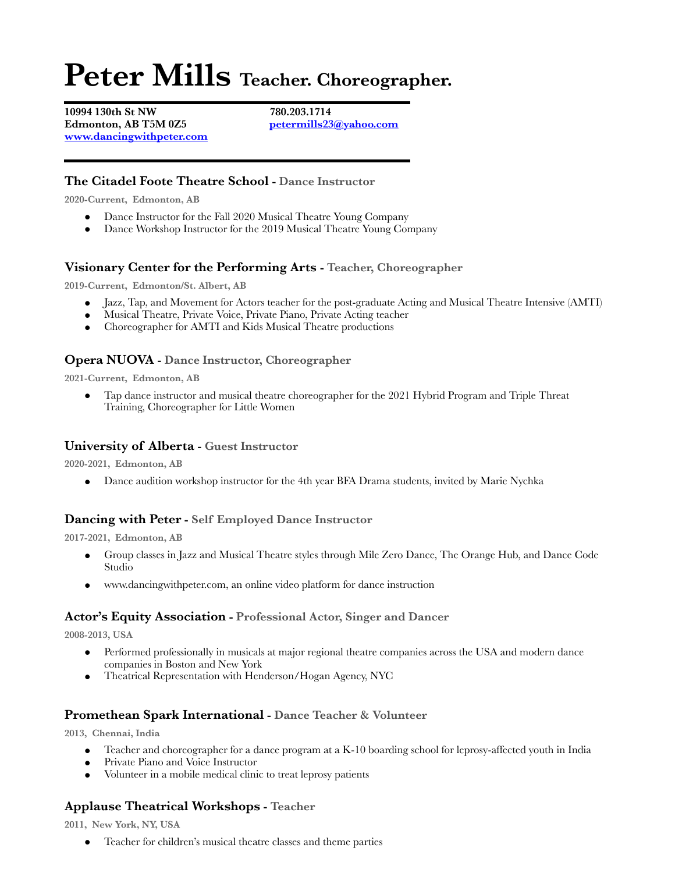# **Peter Mills Teacher. Choreographer.**

**10994 130th St NW 780.203.1714 Edmonton, AB T5M 0Z5 [petermills23@yahoo.com](mailto:petermills23@yahoo.com) [www.dancingwithpeter.com](http://www.dancingwithpeter.com)**

# **The Citadel Foote Theatre School - Dance Instructor**

**2020-Current, Edmonton, AB**

- Dance Instructor for the Fall 2020 Musical Theatre Young Company
- Dance Workshop Instructor for the 2019 Musical Theatre Young Company

# **Visionary Center for the Performing Arts - Teacher, Choreographer**

**2019-Current, Edmonton/St. Albert, AB**

- Jazz, Tap, and Movement for Actors teacher for the post-graduate Acting and Musical Theatre Intensive (AMTI)
- Musical Theatre, Private Voice, Private Piano, Private Acting teacher
- Choreographer for AMTI and Kids Musical Theatre productions

# **Opera NUOVA - Dance Instructor, Choreographer**

**2021-Current, Edmonton, AB**

Tap dance instructor and musical theatre choreographer for the 2021 Hybrid Program and Triple Threat Training, Choreographer for Little Women

# **University of Alberta - Guest Instructor**

**2020-2021, Edmonton, AB**

• Dance audition workshop instructor for the 4th year BFA Drama students, invited by Marie Nychka

# **Dancing with Peter - Self Employed Dance Instructor**

**2017-2021, Edmonton, AB**

- Group classes in Jazz and Musical Theatre styles through Mile Zero Dance, The Orange Hub, and Dance Code Studio
- www.dancingwithpeter.com, an online video platform for dance instruction

#### **Actor's Equity Association - Professional Actor, Singer and Dancer**

**2008-2013, USA**

- Performed professionally in musicals at major regional theatre companies across the USA and modern dance companies in Boston and New York
- Theatrical Representation with Henderson/Hogan Agency, NYC

# **Promethean Spark International - Dance Teacher & Volunteer**

**2013, Chennai, India**

- Teacher and choreographer for a dance program at a K-10 boarding school for leprosy-affected youth in India
- Private Piano and Voice Instructor
- Volunteer in a mobile medical clinic to treat leprosy patients

# **Applause Theatrical Workshops - Teacher**

**2011, New York, NY, USA**

● Teacher for children's musical theatre classes and theme parties